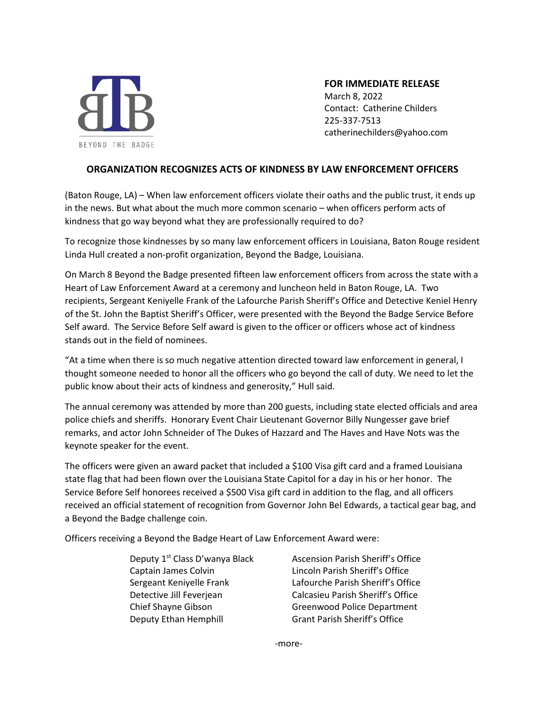

#### **FOR IMMEDIATE RELEASE**

March 8, 2022 Contact: Catherine Childers 225-337-7513 catherinechilders@yahoo.com

#### **ORGANIZATION RECOGNIZES ACTS OF KINDNESS BY LAW ENFORCEMENT OFFICERS**

(Baton Rouge, LA) – When law enforcement officers violate their oaths and the public trust, it ends up in the news. But what about the much more common scenario – when officers perform acts of kindness that go way beyond what they are professionally required to do?

To recognize those kindnesses by so many law enforcement officers in Louisiana, Baton Rouge resident Linda Hull created a non-profit organization, Beyond the Badge, Louisiana.

On March 8 Beyond the Badge presented fifteen law enforcement officers from across the state with a Heart of Law Enforcement Award at a ceremony and luncheon held in Baton Rouge, LA. Two recipients, Sergeant Keniyelle Frank of the Lafourche Parish Sheriff's Office and Detective Keniel Henry of the St. John the Baptist Sheriff's Officer, were presented with the Beyond the Badge Service Before Self award. The Service Before Self award is given to the officer or officers whose act of kindness stands out in the field of nominees.

"At a time when there is so much negative attention directed toward law enforcement in general, I thought someone needed to honor all the officers who go beyond the call of duty. We need to let the public know about their acts of kindness and generosity," Hull said.

The annual ceremony was attended by more than 200 guests, including state elected officials and area police chiefs and sheriffs. Honorary Event Chair Lieutenant Governor Billy Nungesser gave brief remarks, and actor John Schneider of The Dukes of Hazzard and The Haves and Have Nots was the keynote speaker for the event.

The officers were given an award packet that included a \$100 Visa gift card and a framed Louisiana state flag that had been flown over the Louisiana State Capitol for a day in his or her honor. The Service Before Self honorees received a \$500 Visa gift card in addition to the flag, and all officers received an official statement of recognition from Governor John Bel Edwards, a tactical gear bag, and a Beyond the Badge challenge coin.

Officers receiving a Beyond the Badge Heart of Law Enforcement Award were:

Deputy 1<sup>st</sup> Class D'wanya Black

Ascension Parish Sheriff's Office Captain James Colvin Lincoln Parish Sheriff's Office Sergeant Keniyelle Frank Lafourche Parish Sheriff's Office Detective Jill Feverjean Calcasieu Parish Sheriff's Office Chief Shayne Gibson Greenwood Police Department Deputy Ethan Hemphill Grant Parish Sheriff's Office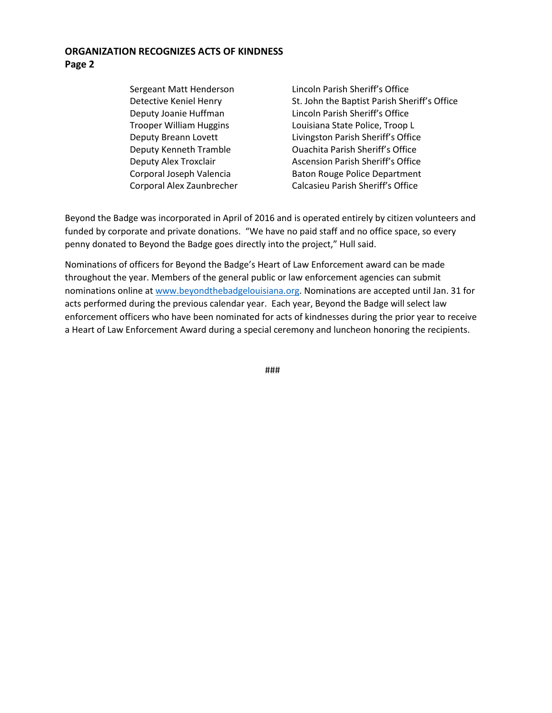#### **ORGANIZATION RECOGNIZES ACTS OF KINDNESS**

**Page 2**

Sergeant Matt Henderson Lincoln Parish Sheriff's Office Detective Keniel Henry St. John the Baptist Parish Sheriff's Office Deputy Joanie Huffman Lincoln Parish Sheriff's Office Trooper William Huggins Louisiana State Police, Troop L Deputy Breann Lovett Livingston Parish Sheriff's Office Deputy Kenneth Tramble Ouachita Parish Sheriff's Office Deputy Alex Troxclair **Ascension Parish Sheriff's Office** Corporal Joseph Valencia **Baton Rouge Police Department** Corporal Alex Zaunbrecher Calcasieu Parish Sheriff's Office

Beyond the Badge was incorporated in April of 2016 and is operated entirely by citizen volunteers and funded by corporate and private donations. "We have no paid staff and no office space, so every penny donated to Beyond the Badge goes directly into the project," Hull said.

Nominations of officers for Beyond the Badge's Heart of Law Enforcement award can be made throughout the year. Members of the general public or law enforcement agencies can submit nominations online at [www.beyondthebadgelouisiana.org.](http://www.beyondthebadgelouisiana.org/) Nominations are accepted until Jan. 31 for acts performed during the previous calendar year. Each year, Beyond the Badge will select law enforcement officers who have been nominated for acts of kindnesses during the prior year to receive a Heart of Law Enforcement Award during a special ceremony and luncheon honoring the recipients.

###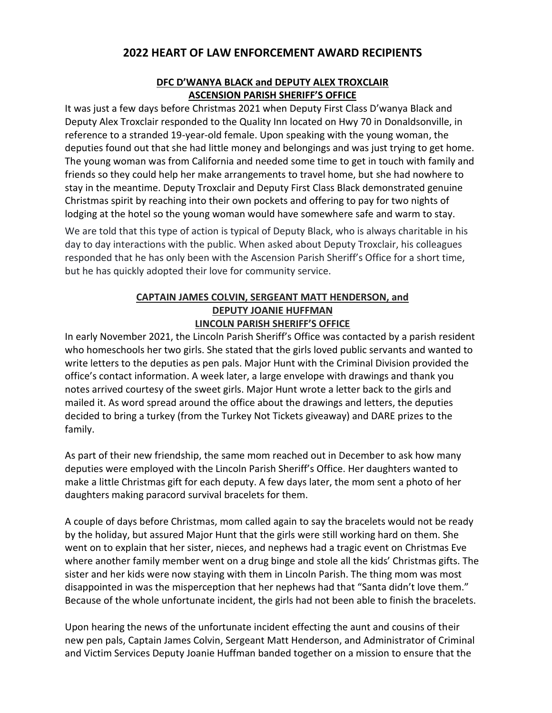## **2022 HEART OF LAW ENFORCEMENT AWARD RECIPIENTS**

#### **DFC D'WANYA BLACK and DEPUTY ALEX TROXCLAIR ASCENSION PARISH SHERIFF'S OFFICE**

It was just a few days before Christmas 2021 when Deputy First Class D'wanya Black and Deputy Alex Troxclair responded to the Quality Inn located on Hwy 70 in Donaldsonville, in reference to a stranded 19-year-old female. Upon speaking with the young woman, the deputies found out that she had little money and belongings and was just trying to get home. The young woman was from California and needed some time to get in touch with family and friends so they could help her make arrangements to travel home, but she had nowhere to stay in the meantime. Deputy Troxclair and Deputy First Class Black demonstrated genuine Christmas spirit by reaching into their own pockets and offering to pay for two nights of lodging at the hotel so the young woman would have somewhere safe and warm to stay.

We are told that this type of action is typical of Deputy Black, who is always charitable in his day to day interactions with the public. When asked about Deputy Troxclair, his colleagues responded that he has only been with the Ascension Parish Sheriff's Office for a short time, but he has quickly adopted their love for community service.

#### **CAPTAIN JAMES COLVIN, SERGEANT MATT HENDERSON, and DEPUTY JOANIE HUFFMAN LINCOLN PARISH SHERIFF'S OFFICE**

In early November 2021, the Lincoln Parish Sheriff's Office was contacted by a parish resident who homeschools her two girls. She stated that the girls loved public servants and wanted to write letters to the deputies as pen pals. Major Hunt with the Criminal Division provided the office's contact information. A week later, a large envelope with drawings and thank you notes arrived courtesy of the sweet girls. Major Hunt wrote a letter back to the girls and mailed it. As word spread around the office about the drawings and letters, the deputies decided to bring a turkey (from the Turkey Not Tickets giveaway) and DARE prizes to the family.

As part of their new friendship, the same mom reached out in December to ask how many deputies were employed with the Lincoln Parish Sheriff's Office. Her daughters wanted to make a little Christmas gift for each deputy. A few days later, the mom sent a photo of her daughters making paracord survival bracelets for them.

A couple of days before Christmas, mom called again to say the bracelets would not be ready by the holiday, but assured Major Hunt that the girls were still working hard on them. She went on to explain that her sister, nieces, and nephews had a tragic event on Christmas Eve where another family member went on a drug binge and stole all the kids' Christmas gifts. The sister and her kids were now staying with them in Lincoln Parish. The thing mom was most disappointed in was the misperception that her nephews had that "Santa didn't love them." Because of the whole unfortunate incident, the girls had not been able to finish the bracelets.

Upon hearing the news of the unfortunate incident effecting the aunt and cousins of their new pen pals, Captain James Colvin, Sergeant Matt Henderson, and Administrator of Criminal and Victim Services Deputy Joanie Huffman banded together on a mission to ensure that the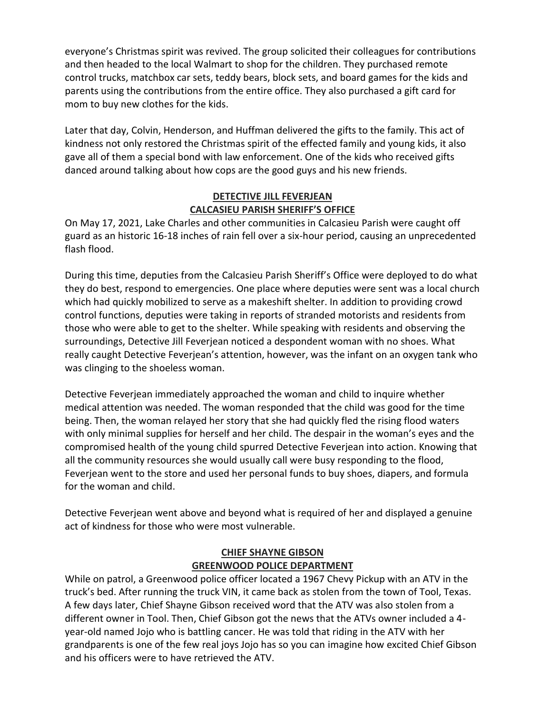everyone's Christmas spirit was revived. The group solicited their colleagues for contributions and then headed to the local Walmart to shop for the children. They purchased remote control trucks, matchbox car sets, teddy bears, block sets, and board games for the kids and parents using the contributions from the entire office. They also purchased a gift card for mom to buy new clothes for the kids.

Later that day, Colvin, Henderson, and Huffman delivered the gifts to the family. This act of kindness not only restored the Christmas spirit of the effected family and young kids, it also gave all of them a special bond with law enforcement. One of the kids who received gifts danced around talking about how cops are the good guys and his new friends.

#### **DETECTIVE JILL FEVERJEAN CALCASIEU PARISH SHERIFF'S OFFICE**

On May 17, 2021, Lake Charles and other communities in Calcasieu Parish were caught off guard as an historic 16-18 inches of rain fell over a six-hour period, causing an unprecedented flash flood.

During this time, deputies from the Calcasieu Parish Sheriff's Office were deployed to do what they do best, respond to emergencies. One place where deputies were sent was a local church which had quickly mobilized to serve as a makeshift shelter. In addition to providing crowd control functions, deputies were taking in reports of stranded motorists and residents from those who were able to get to the shelter. While speaking with residents and observing the surroundings, Detective Jill Feverjean noticed a despondent woman with no shoes. What really caught Detective Feverjean's attention, however, was the infant on an oxygen tank who was clinging to the shoeless woman.

Detective Feverjean immediately approached the woman and child to inquire whether medical attention was needed. The woman responded that the child was good for the time being. Then, the woman relayed her story that she had quickly fled the rising flood waters with only minimal supplies for herself and her child. The despair in the woman's eyes and the compromised health of the young child spurred Detective Feverjean into action. Knowing that all the community resources she would usually call were busy responding to the flood, Feverjean went to the store and used her personal funds to buy shoes, diapers, and formula for the woman and child.

Detective Feverjean went above and beyond what is required of her and displayed a genuine act of kindness for those who were most vulnerable.

#### **CHIEF SHAYNE GIBSON GREENWOOD POLICE DEPARTMENT**

While on patrol, a Greenwood police officer located a 1967 Chevy Pickup with an ATV in the truck's bed. After running the truck VIN, it came back as stolen from the town of Tool, Texas. A few days later, Chief Shayne Gibson received word that the ATV was also stolen from a different owner in Tool. Then, Chief Gibson got the news that the ATVs owner included a 4 year-old named Jojo who is battling cancer. He was told that riding in the ATV with her grandparents is one of the few real joys Jojo has so you can imagine how excited Chief Gibson and his officers were to have retrieved the ATV.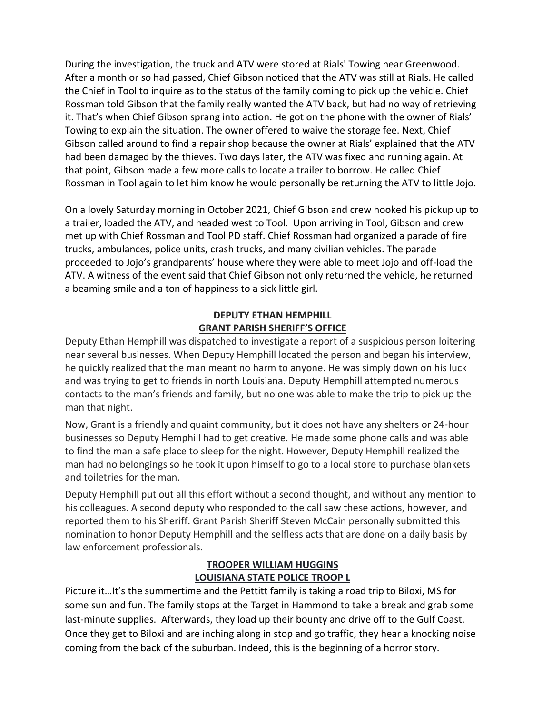During the investigation, the truck and ATV were stored at Rials' Towing near Greenwood. After a month or so had passed, Chief Gibson noticed that the ATV was still at Rials. He called the Chief in Tool to inquire as to the status of the family coming to pick up the vehicle. Chief Rossman told Gibson that the family really wanted the ATV back, but had no way of retrieving it. That's when Chief Gibson sprang into action. He got on the phone with the owner of Rials' Towing to explain the situation. The owner offered to waive the storage fee. Next, Chief Gibson called around to find a repair shop because the owner at Rials' explained that the ATV had been damaged by the thieves. Two days later, the ATV was fixed and running again. At that point, Gibson made a few more calls to locate a trailer to borrow. He called Chief Rossman in Tool again to let him know he would personally be returning the ATV to little Jojo.

On a lovely Saturday morning in October 2021, Chief Gibson and crew hooked his pickup up to a trailer, loaded the ATV, and headed west to Tool. Upon arriving in Tool, Gibson and crew met up with Chief Rossman and Tool PD staff. Chief Rossman had organized a parade of fire trucks, ambulances, police units, crash trucks, and many civilian vehicles. The parade proceeded to Jojo's grandparents' house where they were able to meet Jojo and off-load the ATV. A witness of the event said that Chief Gibson not only returned the vehicle, he returned a beaming smile and a ton of happiness to a sick little girl.

#### **DEPUTY ETHAN HEMPHILL GRANT PARISH SHERIFF'S OFFICE**

Deputy Ethan Hemphill was dispatched to investigate a report of a suspicious person loitering near several businesses. When Deputy Hemphill located the person and began his interview, he quickly realized that the man meant no harm to anyone. He was simply down on his luck and was trying to get to friends in north Louisiana. Deputy Hemphill attempted numerous contacts to the man's friends and family, but no one was able to make the trip to pick up the man that night.

Now, Grant is a friendly and quaint community, but it does not have any shelters or 24-hour businesses so Deputy Hemphill had to get creative. He made some phone calls and was able to find the man a safe place to sleep for the night. However, Deputy Hemphill realized the man had no belongings so he took it upon himself to go to a local store to purchase blankets and toiletries for the man.

Deputy Hemphill put out all this effort without a second thought, and without any mention to his colleagues. A second deputy who responded to the call saw these actions, however, and reported them to his Sheriff. Grant Parish Sheriff Steven McCain personally submitted this nomination to honor Deputy Hemphill and the selfless acts that are done on a daily basis by law enforcement professionals.

#### **TROOPER WILLIAM HUGGINS LOUISIANA STATE POLICE TROOP L**

Picture it…It's the summertime and the Pettitt family is taking a road trip to Biloxi, MS for some sun and fun. The family stops at the Target in Hammond to take a break and grab some last-minute supplies. Afterwards, they load up their bounty and drive off to the Gulf Coast. Once they get to Biloxi and are inching along in stop and go traffic, they hear a knocking noise coming from the back of the suburban. Indeed, this is the beginning of a horror story.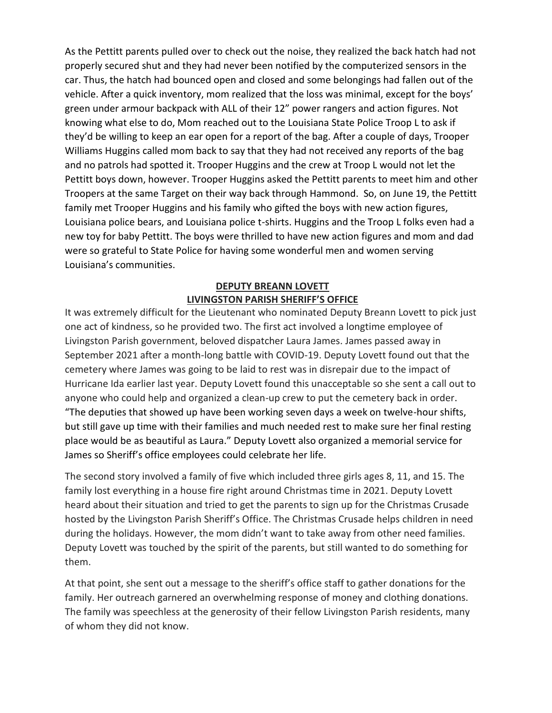As the Pettitt parents pulled over to check out the noise, they realized the back hatch had not properly secured shut and they had never been notified by the computerized sensors in the car. Thus, the hatch had bounced open and closed and some belongings had fallen out of the vehicle. After a quick inventory, mom realized that the loss was minimal, except for the boys' green under armour backpack with ALL of their 12" power rangers and action figures. Not knowing what else to do, Mom reached out to the Louisiana State Police Troop L to ask if they'd be willing to keep an ear open for a report of the bag. After a couple of days, Trooper Williams Huggins called mom back to say that they had not received any reports of the bag and no patrols had spotted it. Trooper Huggins and the crew at Troop L would not let the Pettitt boys down, however. Trooper Huggins asked the Pettitt parents to meet him and other Troopers at the same Target on their way back through Hammond. So, on June 19, the Pettitt family met Trooper Huggins and his family who gifted the boys with new action figures, Louisiana police bears, and Louisiana police t-shirts. Huggins and the Troop L folks even had a new toy for baby Pettitt. The boys were thrilled to have new action figures and mom and dad were so grateful to State Police for having some wonderful men and women serving Louisiana's communities.

#### **DEPUTY BREANN LOVETT LIVINGSTON PARISH SHERIFF'S OFFICE**

It was extremely difficult for the Lieutenant who nominated Deputy Breann Lovett to pick just one act of kindness, so he provided two. The first act involved a longtime employee of Livingston Parish government, beloved dispatcher Laura James. James passed away in September 2021 after a month-long battle with COVID-19. Deputy Lovett found out that the cemetery where James was going to be laid to rest was in disrepair due to the impact of Hurricane Ida earlier last year. Deputy Lovett found this unacceptable so she sent a call out to anyone who could help and organized a clean-up crew to put the cemetery back in order. "The deputies that showed up have been working seven days a week on twelve-hour shifts, but still gave up time with their families and much needed rest to make sure her final resting place would be as beautiful as Laura." Deputy Lovett also organized a memorial service for James so Sheriff's office employees could celebrate her life.

The second story involved a family of five which included three girls ages 8, 11, and 15. The family lost everything in a house fire right around Christmas time in 2021. Deputy Lovett heard about their situation and tried to get the parents to sign up for the Christmas Crusade hosted by the Livingston Parish Sheriff's Office. The Christmas Crusade helps children in need during the holidays. However, the mom didn't want to take away from other need families. Deputy Lovett was touched by the spirit of the parents, but still wanted to do something for them.

At that point, she sent out a message to the sheriff's office staff to gather donations for the family. Her outreach garnered an overwhelming response of money and clothing donations. The family was speechless at the generosity of their fellow Livingston Parish residents, many of whom they did not know.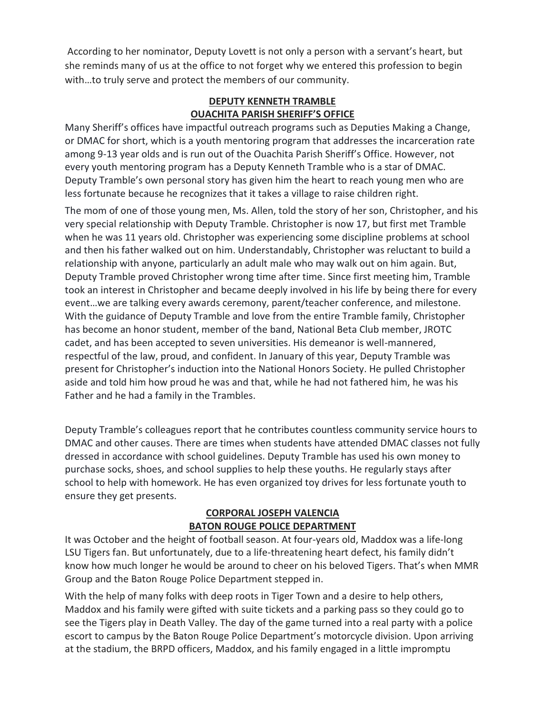According to her nominator, Deputy Lovett is not only a person with a servant's heart, but she reminds many of us at the office to not forget why we entered this profession to begin with…to truly serve and protect the members of our community.

#### **DEPUTY KENNETH TRAMBLE OUACHITA PARISH SHERIFF'S OFFICE**

Many Sheriff's offices have impactful outreach programs such as Deputies Making a Change, or DMAC for short, which is a youth mentoring program that addresses the incarceration rate among 9-13 year olds and is run out of the Ouachita Parish Sheriff's Office. However, not every youth mentoring program has a Deputy Kenneth Tramble who is a star of DMAC. Deputy Tramble's own personal story has given him the heart to reach young men who are less fortunate because he recognizes that it takes a village to raise children right.

The mom of one of those young men, Ms. Allen, told the story of her son, Christopher, and his very special relationship with Deputy Tramble. Christopher is now 17, but first met Tramble when he was 11 years old. Christopher was experiencing some discipline problems at school and then his father walked out on him. Understandably, Christopher was reluctant to build a relationship with anyone, particularly an adult male who may walk out on him again. But, Deputy Tramble proved Christopher wrong time after time. Since first meeting him, Tramble took an interest in Christopher and became deeply involved in his life by being there for every event…we are talking every awards ceremony, parent/teacher conference, and milestone. With the guidance of Deputy Tramble and love from the entire Tramble family, Christopher has become an honor student, member of the band, National Beta Club member, JROTC cadet, and has been accepted to seven universities. His demeanor is well-mannered, respectful of the law, proud, and confident. In January of this year, Deputy Tramble was present for Christopher's induction into the National Honors Society. He pulled Christopher aside and told him how proud he was and that, while he had not fathered him, he was his Father and he had a family in the Trambles.

Deputy Tramble's colleagues report that he contributes countless community service hours to DMAC and other causes. There are times when students have attended DMAC classes not fully dressed in accordance with school guidelines. Deputy Tramble has used his own money to purchase socks, shoes, and school supplies to help these youths. He regularly stays after school to help with homework. He has even organized toy drives for less fortunate youth to ensure they get presents.

#### **CORPORAL JOSEPH VALENCIA BATON ROUGE POLICE DEPARTMENT**

It was October and the height of football season. At four-years old, Maddox was a life-long LSU Tigers fan. But unfortunately, due to a life-threatening heart defect, his family didn't know how much longer he would be around to cheer on his beloved Tigers. That's when MMR Group and the Baton Rouge Police Department stepped in.

With the help of many folks with deep roots in Tiger Town and a desire to help others, Maddox and his family were gifted with suite tickets and a parking pass so they could go to see the Tigers play in Death Valley. The day of the game turned into a real party with a police escort to campus by the Baton Rouge Police Department's motorcycle division. Upon arriving at the stadium, the BRPD officers, Maddox, and his family engaged in a little impromptu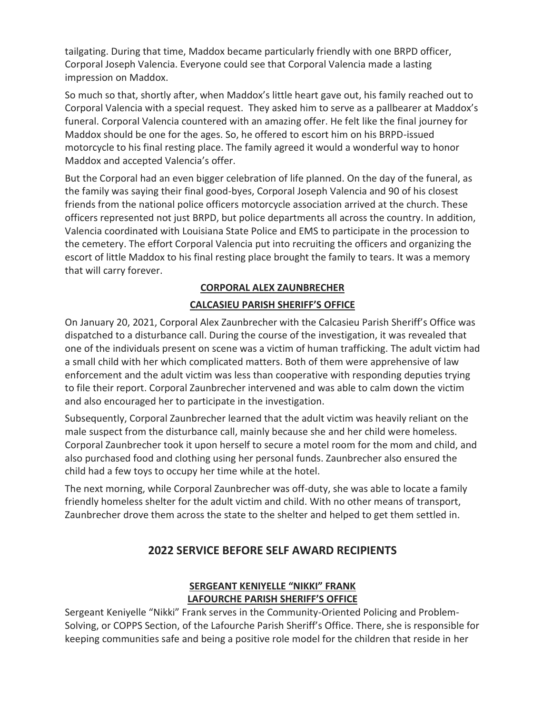tailgating. During that time, Maddox became particularly friendly with one BRPD officer, Corporal Joseph Valencia. Everyone could see that Corporal Valencia made a lasting impression on Maddox.

So much so that, shortly after, when Maddox's little heart gave out, his family reached out to Corporal Valencia with a special request. They asked him to serve as a pallbearer at Maddox's funeral. Corporal Valencia countered with an amazing offer. He felt like the final journey for Maddox should be one for the ages. So, he offered to escort him on his BRPD-issued motorcycle to his final resting place. The family agreed it would a wonderful way to honor Maddox and accepted Valencia's offer.

But the Corporal had an even bigger celebration of life planned. On the day of the funeral, as the family was saying their final good-byes, Corporal Joseph Valencia and 90 of his closest friends from the national police officers motorcycle association arrived at the church. These officers represented not just BRPD, but police departments all across the country. In addition, Valencia coordinated with Louisiana State Police and EMS to participate in the procession to the cemetery. The effort Corporal Valencia put into recruiting the officers and organizing the escort of little Maddox to his final resting place brought the family to tears. It was a memory that will carry forever.

## **CORPORAL ALEX ZAUNBRECHER**

#### **CALCASIEU PARISH SHERIFF'S OFFICE**

On January 20, 2021, Corporal Alex Zaunbrecher with the Calcasieu Parish Sheriff's Office was dispatched to a disturbance call. During the course of the investigation, it was revealed that one of the individuals present on scene was a victim of human trafficking. The adult victim had a small child with her which complicated matters. Both of them were apprehensive of law enforcement and the adult victim was less than cooperative with responding deputies trying to file their report. Corporal Zaunbrecher intervened and was able to calm down the victim and also encouraged her to participate in the investigation.

Subsequently, Corporal Zaunbrecher learned that the adult victim was heavily reliant on the male suspect from the disturbance call, mainly because she and her child were homeless. Corporal Zaunbrecher took it upon herself to secure a motel room for the mom and child, and also purchased food and clothing using her personal funds. Zaunbrecher also ensured the child had a few toys to occupy her time while at the hotel.

The next morning, while Corporal Zaunbrecher was off-duty, she was able to locate a family friendly homeless shelter for the adult victim and child. With no other means of transport, Zaunbrecher drove them across the state to the shelter and helped to get them settled in.

## **2022 SERVICE BEFORE SELF AWARD RECIPIENTS**

#### **SERGEANT KENIYELLE "NIKKI" FRANK LAFOURCHE PARISH SHERIFF'S OFFICE**

Sergeant Keniyelle "Nikki" Frank serves in the Community-Oriented Policing and Problem-Solving, or COPPS Section, of the Lafourche Parish Sheriff's Office. There, she is responsible for keeping communities safe and being a positive role model for the children that reside in her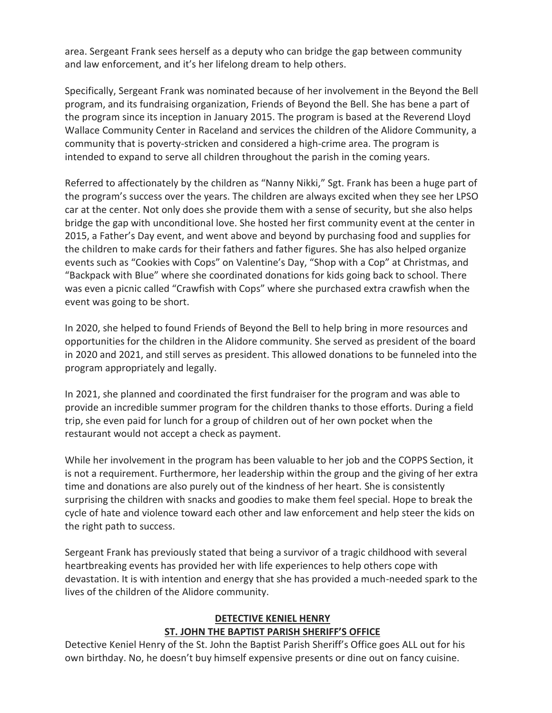area. Sergeant Frank sees herself as a deputy who can bridge the gap between community and law enforcement, and it's her lifelong dream to help others.

Specifically, Sergeant Frank was nominated because of her involvement in the Beyond the Bell program, and its fundraising organization, Friends of Beyond the Bell. She has bene a part of the program since its inception in January 2015. The program is based at the Reverend Lloyd Wallace Community Center in Raceland and services the children of the Alidore Community, a community that is poverty-stricken and considered a high-crime area. The program is intended to expand to serve all children throughout the parish in the coming years.

Referred to affectionately by the children as "Nanny Nikki," Sgt. Frank has been a huge part of the program's success over the years. The children are always excited when they see her LPSO car at the center. Not only does she provide them with a sense of security, but she also helps bridge the gap with unconditional love. She hosted her first community event at the center in 2015, a Father's Day event, and went above and beyond by purchasing food and supplies for the children to make cards for their fathers and father figures. She has also helped organize events such as "Cookies with Cops" on Valentine's Day, "Shop with a Cop" at Christmas, and "Backpack with Blue" where she coordinated donations for kids going back to school. There was even a picnic called "Crawfish with Cops" where she purchased extra crawfish when the event was going to be short.

In 2020, she helped to found Friends of Beyond the Bell to help bring in more resources and opportunities for the children in the Alidore community. She served as president of the board in 2020 and 2021, and still serves as president. This allowed donations to be funneled into the program appropriately and legally.

In 2021, she planned and coordinated the first fundraiser for the program and was able to provide an incredible summer program for the children thanks to those efforts. During a field trip, she even paid for lunch for a group of children out of her own pocket when the restaurant would not accept a check as payment.

While her involvement in the program has been valuable to her job and the COPPS Section, it is not a requirement. Furthermore, her leadership within the group and the giving of her extra time and donations are also purely out of the kindness of her heart. She is consistently surprising the children with snacks and goodies to make them feel special. Hope to break the cycle of hate and violence toward each other and law enforcement and help steer the kids on the right path to success.

Sergeant Frank has previously stated that being a survivor of a tragic childhood with several heartbreaking events has provided her with life experiences to help others cope with devastation. It is with intention and energy that she has provided a much-needed spark to the lives of the children of the Alidore community.

#### **DETECTIVE KENIEL HENRY ST. JOHN THE BAPTIST PARISH SHERIFF'S OFFICE**

Detective Keniel Henry of the St. John the Baptist Parish Sheriff's Office goes ALL out for his own birthday. No, he doesn't buy himself expensive presents or dine out on fancy cuisine.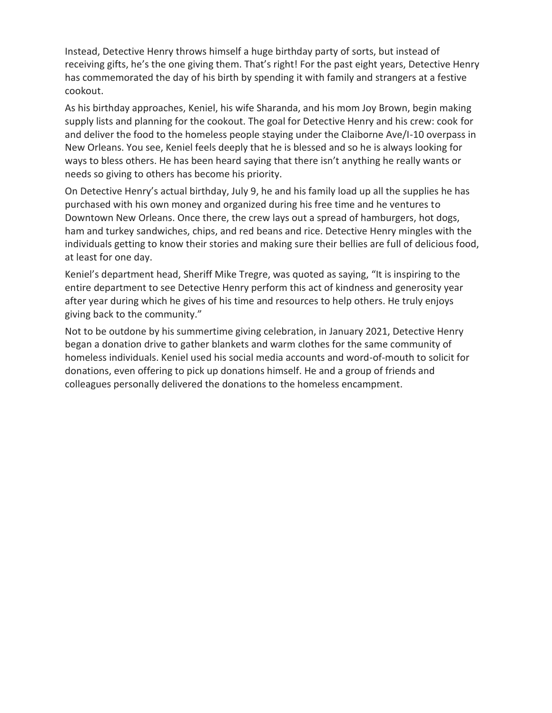Instead, Detective Henry throws himself a huge birthday party of sorts, but instead of receiving gifts, he's the one giving them. That's right! For the past eight years, Detective Henry has commemorated the day of his birth by spending it with family and strangers at a festive cookout.

As his birthday approaches, Keniel, his wife Sharanda, and his mom Joy Brown, begin making supply lists and planning for the cookout. The goal for Detective Henry and his crew: cook for and deliver the food to the homeless people staying under the Claiborne Ave/I-10 overpass in New Orleans. You see, Keniel feels deeply that he is blessed and so he is always looking for ways to bless others. He has been heard saying that there isn't anything he really wants or needs so giving to others has become his priority.

On Detective Henry's actual birthday, July 9, he and his family load up all the supplies he has purchased with his own money and organized during his free time and he ventures to Downtown New Orleans. Once there, the crew lays out a spread of hamburgers, hot dogs, ham and turkey sandwiches, chips, and red beans and rice. Detective Henry mingles with the individuals getting to know their stories and making sure their bellies are full of delicious food, at least for one day.

Keniel's department head, Sheriff Mike Tregre, was quoted as saying, "It is inspiring to the entire department to see Detective Henry perform this act of kindness and generosity year after year during which he gives of his time and resources to help others. He truly enjoys giving back to the community."

Not to be outdone by his summertime giving celebration, in January 2021, Detective Henry began a donation drive to gather blankets and warm clothes for the same community of homeless individuals. Keniel used his social media accounts and word-of-mouth to solicit for donations, even offering to pick up donations himself. He and a group of friends and colleagues personally delivered the donations to the homeless encampment.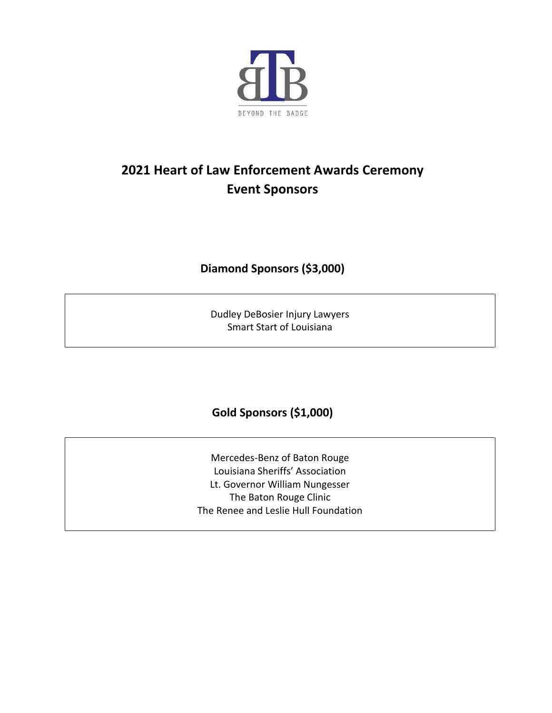

# **2021 Heart of Law Enforcement Awards Ceremony Event Sponsors**

## **Diamond Sponsors (\$3,000)**

Dudley DeBosier Injury Lawyers Smart Start of Louisiana

# **Gold Sponsors (\$1,000)**

Mercedes-Benz of Baton Rouge Louisiana Sheriffs' Association Lt. Governor William Nungesser The Baton Rouge Clinic The Renee and Leslie Hull Foundation